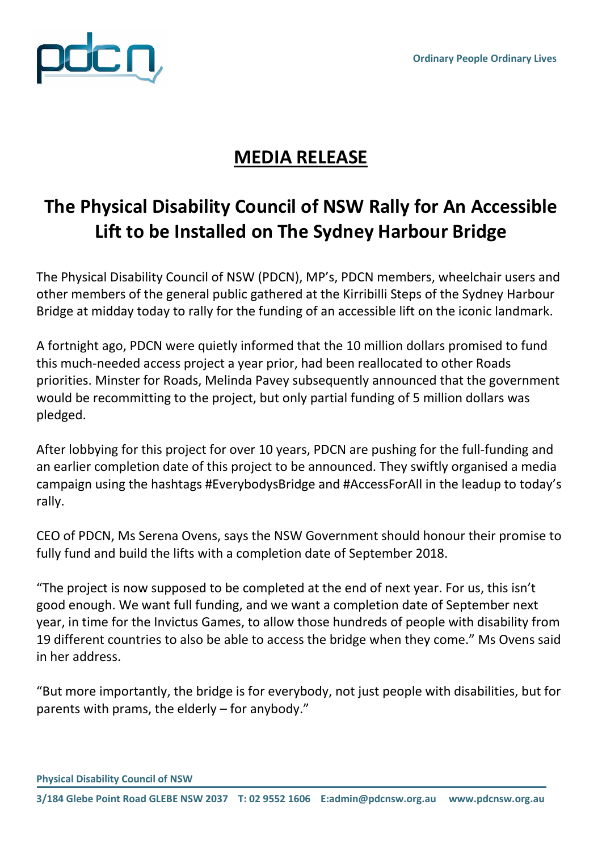

## **MEDIA RELEASE**

## **The Physical Disability Council of NSW Rally for An Accessible Lift to be Installed on The Sydney Harbour Bridge**

The Physical Disability Council of NSW (PDCN), MP's, PDCN members, wheelchair users and other members of the general public gathered at the Kirribilli Steps of the Sydney Harbour Bridge at midday today to rally for the funding of an accessible lift on the iconic landmark.

A fortnight ago, PDCN were quietly informed that the 10 million dollars promised to fund this much-needed access project a year prior, had been reallocated to other Roads priorities. Minster for Roads, Melinda Pavey subsequently announced that the government would be recommitting to the project, but only partial funding of 5 million dollars was pledged.

After lobbying for this project for over 10 years, PDCN are pushing for the full-funding and an earlier completion date of this project to be announced. They swiftly organised a media campaign using the hashtags #EverybodysBridge and #AccessForAll in the leadup to today's rally.

CEO of PDCN, Ms Serena Ovens, says the NSW Government should honour their promise to fully fund and build the lifts with a completion date of September 2018.

"The project is now supposed to be completed at the end of next year. For us, this isn't good enough. We want full funding, and we want a completion date of September next year, in time for the Invictus Games, to allow those hundreds of people with disability from 19 different countries to also be able to access the bridge when they come." Ms Ovens said in her address.

"But more importantly, the bridge is for everybody, not just people with disabilities, but for parents with prams, the elderly – for anybody."

**Physical Disability Council of NSW**